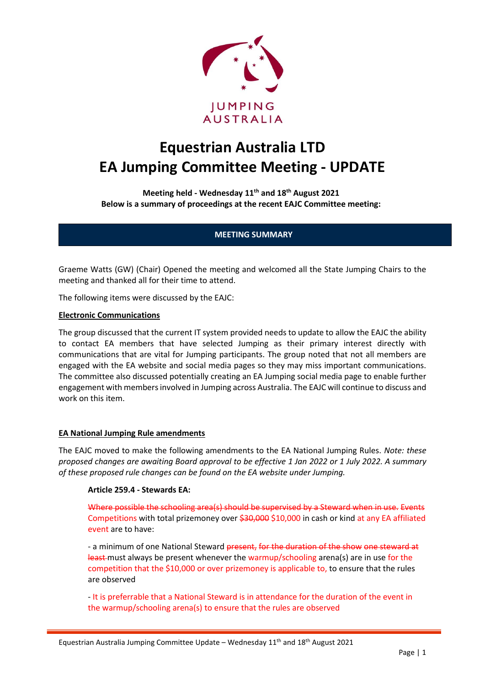

# **Equestrian Australia LTD EA Jumping Committee Meeting - UPDATE**

**Meeting held - Wednesday 11th and 18th August 2021 Below is a summary of proceedings at the recent EAJC Committee meeting:**

## **MEETING SUMMARY**

Graeme Watts (GW) (Chair) Opened the meeting and welcomed all the State Jumping Chairs to the meeting and thanked all for their time to attend.

The following items were discussed by the EAJC:

#### **Electronic Communications**

The group discussed that the current IT system provided needs to update to allow the EAJC the ability to contact EA members that have selected Jumping as their primary interest directly with communications that are vital for Jumping participants. The group noted that not all members are engaged with the EA website and social media pages so they may miss important communications. The committee also discussed potentially creating an EA Jumping social media page to enable further engagement with members involved in Jumping across Australia. The EAJC will continue to discuss and work on this item.

#### **EA National Jumping Rule amendments**

The EAJC moved to make the following amendments to the EA National Jumping Rules. *Note: these proposed changes are awaiting Board approval to be effective 1 Jan 2022 or 1 July 2022. A summary of these proposed rule changes can be found on the EA website under Jumping.*

#### **Article 259.4 - Stewards EA:**

Where possible the schooling area(s) should be supervised by a Steward when in use. Events Competitions with total prizemoney over \$30,000 \$10,000 in cash or kind at any EA affiliated event are to have:

- a minimum of one National Steward present, for the duration of the show one steward at least-must always be present whenever the warmup/schooling arena(s) are in use for the competition that the \$10,000 or over prizemoney is applicable to, to ensure that the rules are observed

- It is preferrable that a National Steward is in attendance for the duration of the event in the warmup/schooling arena(s) to ensure that the rules are observed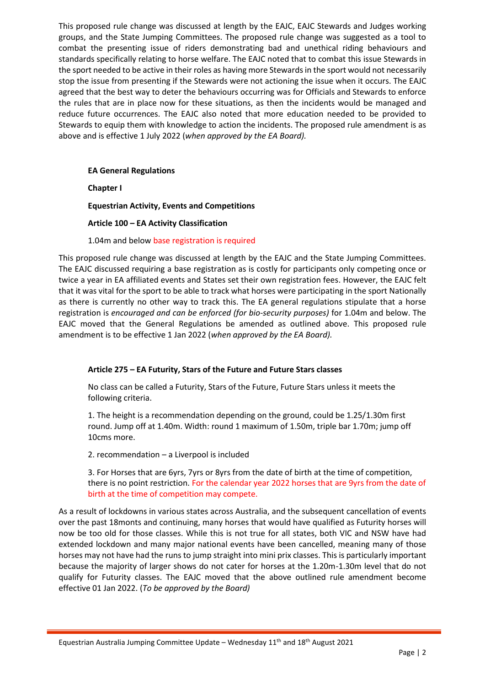This proposed rule change was discussed at length by the EAJC, EAJC Stewards and Judges working groups, and the State Jumping Committees. The proposed rule change was suggested as a tool to combat the presenting issue of riders demonstrating bad and unethical riding behaviours and standards specifically relating to horse welfare. The EAJC noted that to combat this issue Stewards in the sport needed to be active in their roles as having more Stewards in the sport would not necessarily stop the issue from presenting if the Stewards were not actioning the issue when it occurs. The EAJC agreed that the best way to deter the behaviours occurring was for Officials and Stewards to enforce the rules that are in place now for these situations, as then the incidents would be managed and reduce future occurrences. The EAJC also noted that more education needed to be provided to Stewards to equip them with knowledge to action the incidents. The proposed rule amendment is as above and is effective 1 July 2022 (*when approved by the EA Board).*

**EA General Regulations** 

**Chapter I**

**Equestrian Activity, Events and Competitions** 

**Article 100 – EA Activity Classification**

1.04m and below base registration is required

This proposed rule change was discussed at length by the EAJC and the State Jumping Committees. The EAJC discussed requiring a base registration as is costly for participants only competing once or twice a year in EA affiliated events and States set their own registration fees. However, the EAJC felt that it was vital for the sport to be able to track what horses were participating in the sport Nationally as there is currently no other way to track this. The EA general regulations stipulate that a horse registration is *encouraged and can be enforced (for bio-security purposes)* for 1.04m and below. The EAJC moved that the General Regulations be amended as outlined above. This proposed rule amendment is to be effective 1 Jan 2022 (*when approved by the EA Board).* 

# **Article 275 – EA Futurity, Stars of the Future and Future Stars classes**

No class can be called a Futurity, Stars of the Future, Future Stars unless it meets the following criteria.

1. The height is a recommendation depending on the ground, could be 1.25/1.30m first round. Jump off at 1.40m. Width: round 1 maximum of 1.50m, triple bar 1.70m; jump off 10cms more.

2. recommendation – a Liverpool is included

3. For Horses that are 6yrs, 7yrs or 8yrs from the date of birth at the time of competition, there is no point restriction. For the calendar year 2022 horses that are 9yrs from the date of birth at the time of competition may compete.

As a result of lockdowns in various states across Australia, and the subsequent cancellation of events over the past 18monts and continuing, many horses that would have qualified as Futurity horses will now be too old for those classes. While this is not true for all states, both VIC and NSW have had extended lockdown and many major national events have been cancelled, meaning many of those horses may not have had the runs to jump straight into mini prix classes. This is particularly important because the majority of larger shows do not cater for horses at the 1.20m-1.30m level that do not qualify for Futurity classes. The EAJC moved that the above outlined rule amendment become effective 01 Jan 2022. (*To be approved by the Board)*